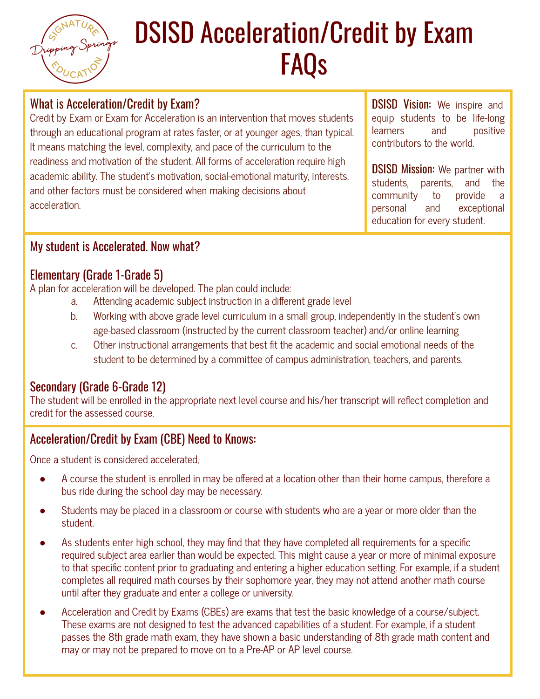# DSISD Acceleration/Credit by Exam FAQs

## What is Acceleration/Credit by Exam?

Credit by Exam or Exam for Acceleration is an intervention that moves students through an educational program at rates faster, or at younger ages, than typical. It means matching the level, complexity, and pace of the curriculum to the readiness and motivation of the student. All forms of acceleration require high academic ability. The student's motivation, social-emotional maturity, interests, and other factors must be considered when making decisions about acceleration.

DSISD Vision: We inspire and equip students to be life-long learners and positive contributors to the world.

**DSISD Mission:** We partner with students, parents, and the community to provide a personal and exceptional education for every student.

## My student is Accelerated. Now what?

## Elementary (Grade 1-Grade 5)

A plan for acceleration will be developed. The plan could include:

- a. Attending academic subject instruction in a different grade level
- b. Working with above grade level curriculum in a small group, independently in the student's own age-based classroom (instructed by the current classroom teacher) and/or online learning
- c. Other instructional arrangements that best fit the academic and social emotional needs of the student to be determined by a committee of campus administration, teachers, and parents.

## Secondary (Grade 6-Grade 12)

The student will be enrolled in the appropriate next level course and his/her transcript will reflect completion and credit for the assessed course.

## Acceleration/Credit by Exam (CBE) Need to Knows:

Once a student is considered accelerated,

- A course the student is enrolled in may be offered at a location other than their home campus, therefore a bus ride during the school day may be necessary.
- Students may be placed in a classroom or course with students who are a year or more older than the student.
- As students enter high school, they may find that they have completed all requirements for a specific required subject area earlier than would be expected. This might cause a year or more of minimal exposure to that specific content prior to graduating and entering a higher education setting. For example, if a student completes all required math courses by their sophomore year, they may not attend another math course until after they graduate and enter a college or university.
- Acceleration and Credit by Exams (CBEs) are exams that test the basic knowledge of a course/subject. These exams are not designed to test the advanced capabilities of a student. For example, if a student passes the 8th grade math exam, they have shown a basic understanding of 8th grade math content and may or may not be prepared to move on to a Pre-AP or AP level course.